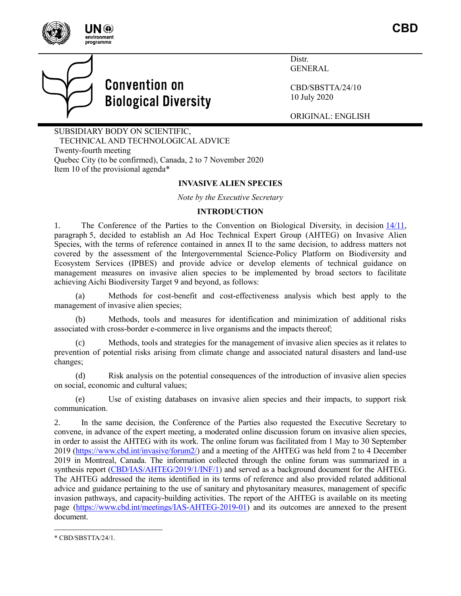

**CBD**



Distr. GENERAL

CBD/SBSTTA/24/10 10 July 2020

ORIGINAL: ENGLISH

SUBSIDIARY BODY ON SCIENTIFIC, TECHNICAL AND TECHNOLOGICAL ADVICE Twenty-fourth meeting Quebec City (to be confirmed), Canada, 2 to 7 November 2020 Item 10 of the provisional agenda\*

### **INVASIVE ALIEN SPECIES**

*Note by the Executive Secretary*

### **INTRODUCTION**

1. The Conference of the Parties to the Convention on Biological Diversity, in decision [14/11,](https://www.cbd.int/doc/decisions/cop-14/cop-14-dec-11-en.pdf) paragraph 5, decided to establish an Ad Hoc Technical Expert Group (AHTEG) on Invasive Alien Species, with the terms of reference contained in annex II to the same decision, to address matters not covered by the assessment of the Intergovernmental Science-Policy Platform on Biodiversity and Ecosystem Services (IPBES) and provide advice or develop elements of technical guidance on management measures on invasive alien species to be implemented by broad sectors to facilitate achieving Aichi Biodiversity Target 9 and beyond, as follows:

Methods for cost-benefit and cost-effectiveness analysis which best apply to the management of invasive alien species;

(b) Methods, tools and measures for identification and minimization of additional risks associated with cross-border e-commerce in live organisms and the impacts thereof;

(c) Methods, tools and strategies for the management of invasive alien species as it relates to prevention of potential risks arising from climate change and associated natural disasters and land-use changes;

(d) Risk analysis on the potential consequences of the introduction of invasive alien species on social, economic and cultural values;

(e) Use of existing databases on invasive alien species and their impacts, to support risk communication.

2. In the same decision, the Conference of the Parties also requested the Executive Secretary to convene, in advance of the expert meeting, a moderated online discussion forum on invasive alien species, in order to assist the AHTEG with its work. The online forum was facilitated from 1 May to 30 September 2019 [\(https://www.cbd.int/invasive/forum2/\)](https://www.cbd.int/invasive/forum2/) and a meeting of the AHTEG was held from 2 to 4 December 2019 in Montreal, Canada. The information collected through the online forum was summarized in a synthesis report [\(CBD/IAS/AHTEG/2019/1/INF/1\)](https://www.cbd.int/doc/c/d56b/254f/f263e27be6e1bb97f564e21d/ias-ahteg-2019-01-inf-01-en.pdf) and served as a background document for the AHTEG. The AHTEG addressed the items identified in its terms of reference and also provided related additional advice and guidance pertaining to the use of sanitary and phytosanitary measures, management of specific invasion pathways, and capacity-building activities. The report of the AHTEG is available on its meeting page [\(https://www.cbd.int/meetings/IAS-AHTEG-2019-01\)](https://www.cbd.int/meetings/IAS-AHTEG-2019-01) and its outcomes are annexed to the present document.

<sup>\*</sup> CBD/SBSTTA/24/1.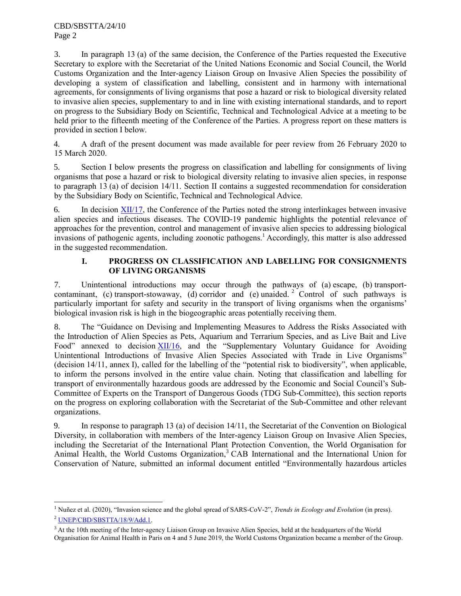3. In paragraph 13 (a) of the same decision, the Conference of the Parties requested the Executive Secretary to explore with the Secretariat of the United Nations Economic and Social Council, the World Customs Organization and the Inter-agency Liaison Group on Invasive Alien Species the possibility of developing a system of classification and labelling, consistent and in harmony with international agreements, for consignments of living organisms that pose a hazard or risk to biological diversity related to invasive alien species, supplementary to and in line with existing international standards, and to report on progress to the Subsidiary Body on Scientific, Technical and Technological Advice at a meeting to be held prior to the fifteenth meeting of the Conference of the Parties. A progress report on these matters is provided in section I below.

4. A draft of the present document was made available for peer review from 26 February 2020 to 15 March 2020.

5. Section I below presents the progress on classification and labelling for consignments of living organisms that pose a hazard or risk to biological diversity relating to invasive alien species, in response to paragraph 13 (a) of decision 14/11. Section II contains a suggested recommendation for consideration by the Subsidiary Body on Scientific, Technical and Technological Advice.

6. In decision [XII/17,](https://www.cbd.int/doc/decisions/cop-12/cop-12-dec-17-en.pdf) the Conference of the Parties noted the strong interlinkages between invasive alien species and infectious diseases. The COVID-19 pandemic highlights the potential relevance of approaches for the prevention, control and management of invasive alien species to addressing biological invasions of pathogenic agents, including zoonotic pathogens.<sup>1</sup> Accordingly, this matter is also addressed in the suggested recommendation.

# **I. PROGRESS ON CLASSIFICATION AND LABELLING FOR CONSIGNMENTS OF LIVING ORGANISMS**

7. Unintentional introductions may occur through the pathways of (a) escape, (b) transportcontaminant, (c) transport-stowaway, (d) corridor and (e) unaided.<sup>2</sup> Control of such pathways is particularly important for safety and security in the transport of living organisms when the organisms' biological invasion risk is high in the biogeographic areas potentially receiving them.

8. The "Guidance on Devising and Implementing Measures to Address the Risks Associated with the Introduction of Alien Species as Pets, Aquarium and Terrarium Species, and as Live Bait and Live Food" annexed to decision [XII/16,](https://www.cbd.int/doc/decisions/cop-12/cop-12-dec-16-en.pdf) and the "Supplementary Voluntary Guidance for Avoiding Unintentional Introductions of Invasive Alien Species Associated with Trade in Live Organisms" (decision 14/11, annex I), called for the labelling of the "potential risk to biodiversity", when applicable, to inform the persons involved in the entire value chain. Noting that classification and labelling for transport of environmentally hazardous goods are addressed by the Economic and Social Council's Sub-Committee of Experts on the Transport of Dangerous Goods (TDG Sub-Committee), this section reports on the progress on exploring collaboration with the Secretariat of the Sub-Committee and other relevant organizations.

9. In response to paragraph 13 (a) of decision 14/11, the Secretariat of the Convention on Biological Diversity, in collaboration with members of the Inter-agency Liaison Group on Invasive Alien Species, including the Secretariat of the International Plant Protection Convention, the World Organisation for Animal Health, the World Customs Organization,<sup>3</sup> CAB International and the International Union for Conservation of Nature, submitted an informal document entitled "Environmentally hazardous articles

<sup>1</sup> Nuñez et al. (2020), "Invasion science and the global spread of SARS-CoV-2", *Trends in Ecology and Evolution* (in press).

<sup>2</sup> [UNEP/CBD/SBSTTA/18/9/Add.1.](https://www.cbd.int/doc/meetings/sbstta/sbstta-18/official/sbstta-18-09-add1-en.pdf)

<sup>&</sup>lt;sup>3</sup> At the 10th meeting of the Inter-agency Liaison Group on Invasive Alien Species, held at the headquarters of the World Organisation for Animal Health in Paris on 4 and 5 June 2019, the World Customs Organization became a member of the Group.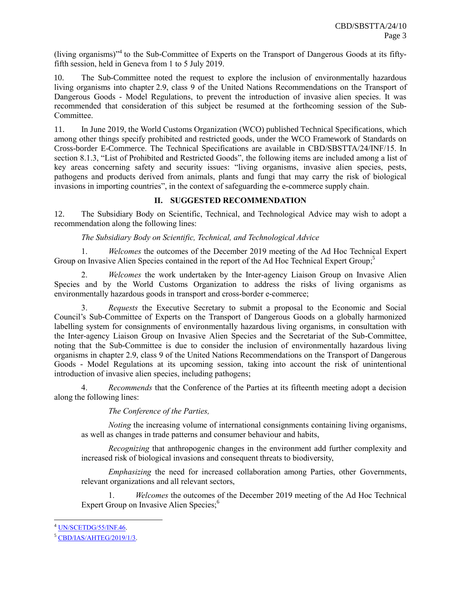(living organisms)<sup>34</sup> to the Sub-Committee of Experts on the Transport of Dangerous Goods at its fiftyfifth session, held in Geneva from 1 to 5 July 2019.

10. The Sub-Committee noted the request to explore the inclusion of environmentally hazardous living organisms into chapter 2.9, class 9 of the United Nations Recommendations on the Transport of Dangerous Goods - Model Regulations, to prevent the introduction of invasive alien species. It was recommended that consideration of this subject be resumed at the forthcoming session of the Sub-Committee.

11. In June 2019, the World Customs Organization (WCO) published Technical Specifications, which among other things specify prohibited and restricted goods, under the WCO Framework of Standards on Cross-border E-Commerce. The Technical Specifications are available in CBD/SBSTTA/24/INF/15. In section 8.1.3, "List of Prohibited and Restricted Goods", the following items are included among a list of key areas concerning safety and security issues: "living organisms, invasive alien species, pests, pathogens and products derived from animals, plants and fungi that may carry the risk of biological invasions in importing countries", in the context of safeguarding the e-commerce supply chain.

# **II. SUGGESTED RECOMMENDATION**

12. The Subsidiary Body on Scientific, Technical, and Technological Advice may wish to adopt a recommendation along the following lines:

### *The Subsidiary Body on Scientific, Technical, and Technological Advice*

1. *Welcomes* the outcomes of the December 2019 meeting of the Ad Hoc Technical Expert Group on Invasive Alien Species contained in the report of the Ad Hoc Technical Expert Group;

2. *Welcomes* the work undertaken by the Inter-agency Liaison Group on Invasive Alien Species and by the World Customs Organization to address the risks of living organisms as environmentally hazardous goods in transport and cross-border e-commerce;

3. *Requests* the Executive Secretary to submit a proposal to the Economic and Social Council's Sub-Committee of Experts on the Transport of Dangerous Goods on a globally harmonized labelling system for consignments of environmentally hazardous living organisms, in consultation with the Inter-agency Liaison Group on Invasive Alien Species and the Secretariat of the Sub-Committee, noting that the Sub-Committee is due to consider the inclusion of environmentally hazardous living organisms in chapter 2.9, class 9 of the United Nations Recommendations on the Transport of Dangerous Goods - Model Regulations at its upcoming session, taking into account the risk of unintentional introduction of invasive alien species, including pathogens;

4. *Recommends* that the Conference of the Parties at its fifteenth meeting adopt a decision along the following lines:

*The Conference of the Parties,*

*Noting* the increasing volume of international consignments containing living organisms, as well as changes in trade patterns and consumer behaviour and habits,

*Recognizing* that anthropogenic changes in the environment add further complexity and increased risk of biological invasions and consequent threats to biodiversity,

*Emphasizing* the need for increased collaboration among Parties, other Governments, relevant organizations and all relevant sectors,

1. *Welcomes* the outcomes of the December 2019 meeting of the Ad Hoc Technical Expert Group on Invasive Alien Species;<sup>6</sup>

<sup>&</sup>lt;sup>4</sup> [UN/SCETDG/55/INF.46.](http://www.unece.org/fileadmin/DAM/trans/doc/2019/dgac10c3/UN-SCETDG-55-INF46e.pdf)

 $5$  [CBD/IAS/AHTEG/2019/1/3.](https://www.cbd.int/doc/c/8762/bb5b/050f2c6e5031b9914618f366/ias-ahteg-2019-01-03-en.pdf)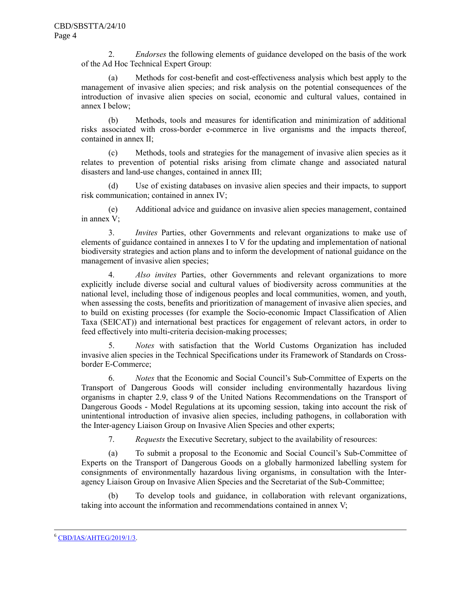2. *Endorses* the following elements of guidance developed on the basis of the work of the Ad Hoc Technical Expert Group:

(a) Methods for cost-benefit and cost-effectiveness analysis which best apply to the management of invasive alien species; and risk analysis on the potential consequences of the introduction of invasive alien species on social, economic and cultural values, contained in annex I below;

(b) Methods, tools and measures for identification and minimization of additional risks associated with cross-border e-commerce in live organisms and the impacts thereof, contained in annex II;

(c) Methods, tools and strategies for the management of invasive alien species as it relates to prevention of potential risks arising from climate change and associated natural disasters and land-use changes, contained in annex III;

(d) Use of existing databases on invasive alien species and their impacts, to support risk communication; contained in annex IV;

(e) Additional advice and guidance on invasive alien species management, contained in annex V;

3. *Invites* Parties, other Governments and relevant organizations to make use of elements of guidance contained in annexes I to V for the updating and implementation of national biodiversity strategies and action plans and to inform the development of national guidance on the management of invasive alien species;

4. *Also invites* Parties, other Governments and relevant organizations to more explicitly include diverse social and cultural values of biodiversity across communities at the national level, including those of indigenous peoples and local communities, women, and youth, when assessing the costs, benefits and prioritization of management of invasive alien species, and to build on existing processes (for example the Socio-economic Impact Classification of Alien Taxa (SEICAT)) and international best practices for engagement of relevant actors, in order to feed effectively into multi-criteria decision-making processes;

5. *Notes* with satisfaction that the World Customs Organization has included invasive alien species in the Technical Specifications under its Framework of Standards on Crossborder E-Commerce;

6. *Notes* that the Economic and Social Council's Sub-Committee of Experts on the Transport of Dangerous Goods will consider including environmentally hazardous living organisms in chapter 2.9, class 9 of the United Nations Recommendations on the Transport of Dangerous Goods - Model Regulations at its upcoming session, taking into account the risk of unintentional introduction of invasive alien species, including pathogens, in collaboration with the Inter-agency Liaison Group on Invasive Alien Species and other experts;

7. *Requests* the Executive Secretary, subject to the availability of resources:

(a) To submit a proposal to the Economic and Social Council's Sub-Committee of Experts on the Transport of Dangerous Goods on a globally harmonized labelling system for consignments of environmentally hazardous living organisms, in consultation with the Interagency Liaison Group on Invasive Alien Species and the Secretariat of the Sub-Committee;

(b) To develop tools and guidance, in collaboration with relevant organizations, taking into account the information and recommendations contained in annex V;

<sup>6</sup> [CBD/IAS/AHTEG/2019/1/3.](https://www.cbd.int/doc/c/8762/bb5b/050f2c6e5031b9914618f366/ias-ahteg-2019-01-03-en.pdf)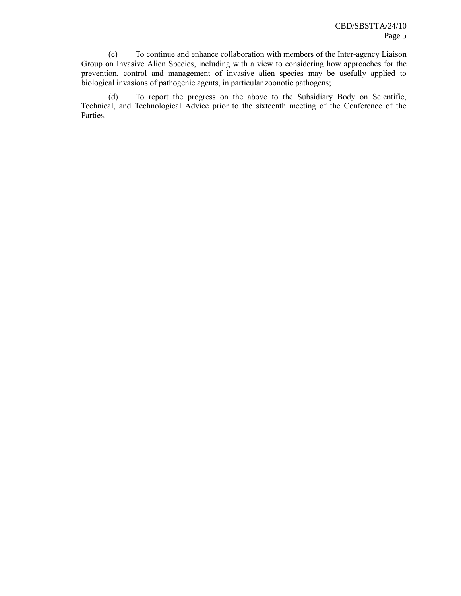(c) To continue and enhance collaboration with members of the Inter-agency Liaison Group on Invasive Alien Species, including with a view to considering how approaches for the prevention, control and management of invasive alien species may be usefully applied to biological invasions of pathogenic agents, in particular zoonotic pathogens;

(d) To report the progress on the above to the Subsidiary Body on Scientific, Technical, and Technological Advice prior to the sixteenth meeting of the Conference of the Parties.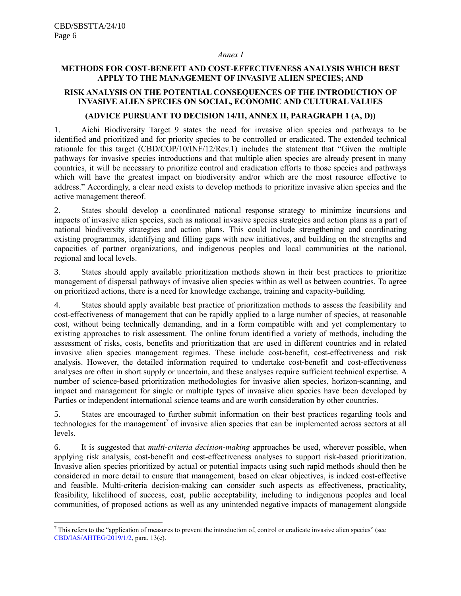l

## *Annex I*

# **METHODS FOR COST-BENEFIT AND COST-EFFECTIVENESS ANALYSIS WHICH BEST APPLY TO THE MANAGEMENT OF INVASIVE ALIEN SPECIES; AND**

# **RISK ANALYSIS ON THE POTENTIAL CONSEQUENCES OF THE INTRODUCTION OF INVASIVE ALIEN SPECIES ON SOCIAL, ECONOMIC AND CULTURAL VALUES**

## **(ADVICE PURSUANT TO DECISION 14/11, ANNEX II, PARAGRAPH 1 (A, D))**

1. Aichi Biodiversity Target 9 states the need for invasive alien species and pathways to be identified and prioritized and for priority species to be controlled or eradicated. The extended technical rationale for this target (CBD/COP/10/INF/12/Rev.1) includes the statement that "Given the multiple pathways for invasive species introductions and that multiple alien species are already present in many countries, it will be necessary to prioritize control and eradication efforts to those species and pathways which will have the greatest impact on biodiversity and/or which are the most resource effective to address." Accordingly, a clear need exists to develop methods to prioritize invasive alien species and the active management thereof.

2. States should develop a coordinated national response strategy to minimize incursions and impacts of invasive alien species, such as national invasive species strategies and action plans as a part of national biodiversity strategies and action plans. This could include strengthening and coordinating existing programmes, identifying and filling gaps with new initiatives, and building on the strengths and capacities of partner organizations, and indigenous peoples and local communities at the national, regional and local levels.

3. States should apply available prioritization methods shown in their best practices to prioritize management of dispersal pathways of invasive alien species within as well as between countries. To agree on prioritized actions, there is a need for knowledge exchange, training and capacity-building.

4. States should apply available best practice of prioritization methods to assess the feasibility and cost-effectiveness of management that can be rapidly applied to a large number of species, at reasonable cost, without being technically demanding, and in a form compatible with and yet complementary to existing approaches to risk assessment. The online forum identified a variety of methods, including the assessment of risks, costs, benefits and prioritization that are used in different countries and in related invasive alien species management regimes. These include cost-benefit, cost-effectiveness and risk analysis. However, the detailed information required to undertake cost-benefit and cost-effectiveness analyses are often in short supply or uncertain, and these analyses require sufficient technical expertise. A number of science-based prioritization methodologies for invasive alien species, horizon-scanning, and impact and management for single or multiple types of invasive alien species have been developed by Parties or independent international science teams and are worth consideration by other countries.

5. States are encouraged to further submit information on their best practices regarding tools and technologies for the management<sup>7</sup> of invasive alien species that can be implemented across sectors at all levels.

6. It is suggested that *multi-criteria decision-making* approaches be used, wherever possible, when applying risk analysis, cost-benefit and cost-effectiveness analyses to support risk-based prioritization. Invasive alien species prioritized by actual or potential impacts using such rapid methods should then be considered in more detail to ensure that management, based on clear objectives, is indeed cost-effective and feasible. Multi-criteria decision-making can consider such aspects as effectiveness, practicality, feasibility, likelihood of success, cost, public acceptability, including to indigenous peoples and local communities, of proposed actions as well as any unintended negative impacts of management alongside

 $\frac{7}{1}$  This refers to the "application of measures to prevent the introduction of, control or eradicate invasive alien species" (see [CBD/IAS/AHTEG/2019/1/2,](https://www.cbd.int/doc/c/f82f/90c8/4e82b4a23db2edfc632d56c5/ias-ahteg-2019-01-02-en.pdf) para. 13(e).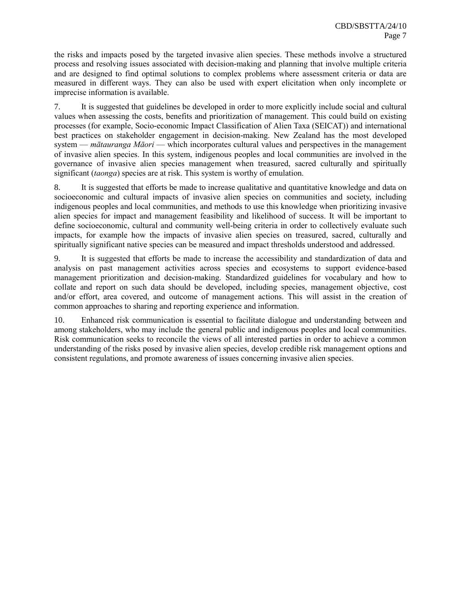the risks and impacts posed by the targeted invasive alien species. These methods involve a structured process and resolving issues associated with decision-making and planning that involve multiple criteria and are designed to find optimal solutions to complex problems where assessment criteria or data are measured in different ways. They can also be used with expert elicitation when only incomplete or imprecise information is available.

7. It is suggested that guidelines be developed in order to more explicitly include social and cultural values when assessing the costs, benefits and prioritization of management. This could build on existing processes (for example, Socio-economic Impact Classification of Alien Taxa (SEICAT)) and international best practices on stakeholder engagement in decision-making. New Zealand has the most developed system — *mātauranga Māori* — which incorporates cultural values and perspectives in the management of invasive alien species. In this system, indigenous peoples and local communities are involved in the governance of invasive alien species management when treasured, sacred culturally and spiritually significant (*taonga*) species are at risk. This system is worthy of emulation.

8. It is suggested that efforts be made to increase qualitative and quantitative knowledge and data on socioeconomic and cultural impacts of invasive alien species on communities and society, including indigenous peoples and local communities, and methods to use this knowledge when prioritizing invasive alien species for impact and management feasibility and likelihood of success. It will be important to define socioeconomic, cultural and community well-being criteria in order to collectively evaluate such impacts, for example how the impacts of invasive alien species on treasured, sacred, culturally and spiritually significant native species can be measured and impact thresholds understood and addressed.

9. It is suggested that efforts be made to increase the accessibility and standardization of data and analysis on past management activities across species and ecosystems to support evidence-based management prioritization and decision-making. Standardized guidelines for vocabulary and how to collate and report on such data should be developed, including species, management objective, cost and/or effort, area covered, and outcome of management actions. This will assist in the creation of common approaches to sharing and reporting experience and information.

10. Enhanced risk communication is essential to facilitate dialogue and understanding between and among stakeholders, who may include the general public and indigenous peoples and local communities. Risk communication seeks to reconcile the views of all interested parties in order to achieve a common understanding of the risks posed by invasive alien species, develop credible risk management options and consistent regulations, and promote awareness of issues concerning invasive alien species.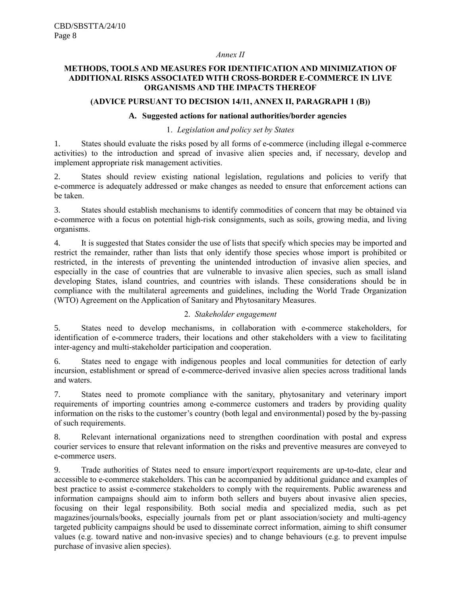#### *Annex II*

## **METHODS, TOOLS AND MEASURES FOR IDENTIFICATION AND MINIMIZATION OF ADDITIONAL RISKS ASSOCIATED WITH CROSS-BORDER E-COMMERCE IN LIVE ORGANISMS AND THE IMPACTS THEREOF**

#### **(ADVICE PURSUANT TO DECISION 14/11, ANNEX II, PARAGRAPH 1 (B))**

# **A. Suggested actions for national authorities/border agencies**

### 1. *Legislation and policy set by States*

1. States should evaluate the risks posed by all forms of e-commerce (including illegal e-commerce activities) to the introduction and spread of invasive alien species and, if necessary, develop and implement appropriate risk management activities.

2. States should review existing national legislation, regulations and policies to verify that e-commerce is adequately addressed or make changes as needed to ensure that enforcement actions can be taken.

3. States should establish mechanisms to identify commodities of concern that may be obtained via e-commerce with a focus on potential high-risk consignments, such as soils, growing media, and living organisms.

4. It is suggested that States consider the use of lists that specify which species may be imported and restrict the remainder, rather than lists that only identify those species whose import is prohibited or restricted, in the interests of preventing the unintended introduction of invasive alien species, and especially in the case of countries that are vulnerable to invasive alien species, such as small island developing States, island countries, and countries with islands. These considerations should be in compliance with the multilateral agreements and guidelines, including the World Trade Organization (WTO) Agreement on the Application of Sanitary and Phytosanitary Measures.

### 2. *Stakeholder engagement*

5. States need to develop mechanisms, in collaboration with e-commerce stakeholders, for identification of e-commerce traders, their locations and other stakeholders with a view to facilitating inter-agency and multi-stakeholder participation and cooperation.

6. States need to engage with indigenous peoples and local communities for detection of early incursion, establishment or spread of e-commerce-derived invasive alien species across traditional lands and waters.

7. States need to promote compliance with the sanitary, phytosanitary and veterinary import requirements of importing countries among e-commerce customers and traders by providing quality information on the risks to the customer's country (both legal and environmental) posed by the by-passing of such requirements.

8. Relevant international organizations need to strengthen coordination with postal and express courier services to ensure that relevant information on the risks and preventive measures are conveyed to e-commerce users.

9. Trade authorities of States need to ensure import/export requirements are up-to-date, clear and accessible to e-commerce stakeholders. This can be accompanied by additional guidance and examples of best practice to assist e-commerce stakeholders to comply with the requirements. Public awareness and information campaigns should aim to inform both sellers and buyers about invasive alien species, focusing on their legal responsibility. Both social media and specialized media, such as pet magazines/journals/books, especially journals from pet or plant association/society and multi-agency targeted publicity campaigns should be used to disseminate correct information, aiming to shift consumer values (e.g. toward native and non-invasive species) and to change behaviours (e.g. to prevent impulse purchase of invasive alien species).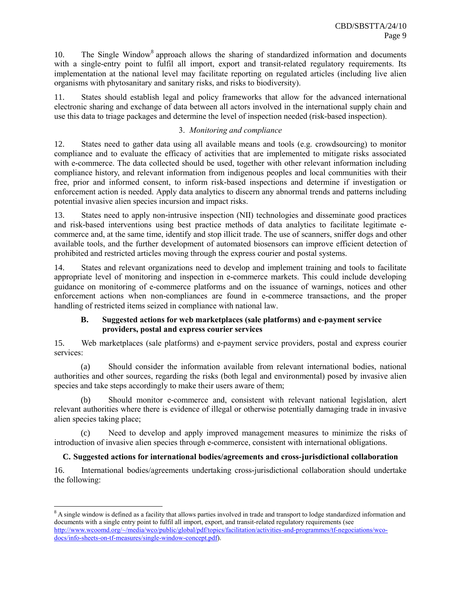10. The Single Window<sup>8</sup> approach allows the sharing of standardized information and documents with a single-entry point to fulfil all import, export and transit-related regulatory requirements. Its implementation at the national level may facilitate reporting on regulated articles (including live alien organisms with phytosanitary and sanitary risks, and risks to biodiversity).

11. States should establish legal and policy frameworks that allow for the advanced international electronic sharing and exchange of data between all actors involved in the international supply chain and use this data to triage packages and determine the level of inspection needed (risk-based inspection).

# 3. *Monitoring and compliance*

12. States need to gather data using all available means and tools (e.g. crowdsourcing) to monitor compliance and to evaluate the efficacy of activities that are implemented to mitigate risks associated with e-commerce. The data collected should be used, together with other relevant information including compliance history, and relevant information from indigenous peoples and local communities with their free, prior and informed consent, to inform risk-based inspections and determine if investigation or enforcement action is needed. Apply data analytics to discern any abnormal trends and patterns including potential invasive alien species incursion and impact risks.

13. States need to apply non-intrusive inspection (NII) technologies and disseminate good practices and risk-based interventions using best practice methods of data analytics to facilitate legitimate ecommerce and, at the same time, identify and stop illicit trade. The use of scanners, sniffer dogs and other available tools, and the further development of automated biosensors can improve efficient detection of prohibited and restricted articles moving through the express courier and postal systems.

14. States and relevant organizations need to develop and implement training and tools to facilitate appropriate level of monitoring and inspection in e-commerce markets. This could include developing guidance on monitoring of e-commerce platforms and on the issuance of warnings, notices and other enforcement actions when non-compliances are found in e-commerce transactions, and the proper handling of restricted items seized in compliance with national law.

# **B. Suggested actions for web marketplaces (sale platforms) and e-payment service providers, postal and express courier services**

15. Web marketplaces (sale platforms) and e-payment service providers, postal and express courier services:

(a) Should consider the information available from relevant international bodies, national authorities and other sources, regarding the risks (both legal and environmental) posed by invasive alien species and take steps accordingly to make their users aware of them;

(b) Should monitor e-commerce and, consistent with relevant national legislation, alert relevant authorities where there is evidence of illegal or otherwise potentially damaging trade in invasive alien species taking place;

(c) Need to develop and apply improved management measures to minimize the risks of introduction of invasive alien species through e-commerce, consistent with international obligations.

# **C. Suggested actions for international bodies/agreements and cross-jurisdictional collaboration**

16. International bodies/agreements undertaking cross-jurisdictional collaboration should undertake the following:

<sup>&</sup>lt;sup>8</sup> A single window is defined as a facility that allows parties involved in trade and transport to lodge standardized information and documents with a single entry point to fulfil all import, export, and transit-related regulatory requirements (see [http://www.wcoomd.org/~/media/wco/public/global/pdf/topics/facilitation/activities-and-programmes/tf-negociations/wco](http://www.wcoomd.org/~/media/wco/public/global/pdf/topics/facilitation/activities-and-programmes/tf-negociations/wco-docs/info-sheets-on-tf-measures/single-window-concept.pdf)[docs/info-sheets-on-tf-measures/single-window-concept.pdf\)](http://www.wcoomd.org/~/media/wco/public/global/pdf/topics/facilitation/activities-and-programmes/tf-negociations/wco-docs/info-sheets-on-tf-measures/single-window-concept.pdf).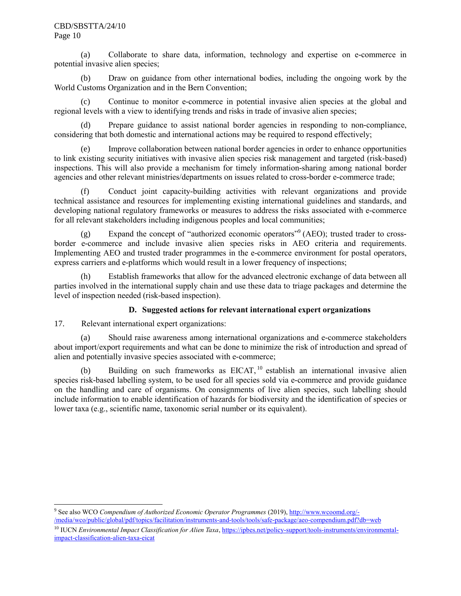#### CBD/SBSTTA/24/10 Page 10

(a) Collaborate to share data, information, technology and expertise on e-commerce in potential invasive alien species;

(b) Draw on guidance from other international bodies, including the ongoing work by the World Customs Organization and in the Bern Convention;

(c) Continue to monitor e-commerce in potential invasive alien species at the global and regional levels with a view to identifying trends and risks in trade of invasive alien species;

(d) Prepare guidance to assist national border agencies in responding to non-compliance, considering that both domestic and international actions may be required to respond effectively;

(e) Improve collaboration between national border agencies in order to enhance opportunities to link existing security initiatives with invasive alien species risk management and targeted (risk-based) inspections. This will also provide a mechanism for timely information-sharing among national border agencies and other relevant ministries/departments on issues related to cross-border e-commerce trade;

(f) Conduct joint capacity-building activities with relevant organizations and provide technical assistance and resources for implementing existing international guidelines and standards, and developing national regulatory frameworks or measures to address the risks associated with e-commerce for all relevant stakeholders including indigenous peoples and local communities;

(g) Expand the concept of "authorized economic operators"<sup>9</sup> (AEO); trusted trader to crossborder e-commerce and include invasive alien species risks in AEO criteria and requirements. Implementing AEO and trusted trader programmes in the e-commerce environment for postal operators, express carriers and e-platforms which would result in a lower frequency of inspections;

(h) Establish frameworks that allow for the advanced electronic exchange of data between all parties involved in the international supply chain and use these data to triage packages and determine the level of inspection needed (risk-based inspection).

# **D. Suggested actions for relevant international expert organizations**

17. Relevant international expert organizations:

(a) Should raise awareness among international organizations and e-commerce stakeholders about import/export requirements and what can be done to minimize the risk of introduction and spread of alien and potentially invasive species associated with e-commerce;

(b) Building on such frameworks as EICAT, <sup>10</sup> establish an international invasive alien species risk-based labelling system, to be used for all species sold via e-commerce and provide guidance on the handling and care of organisms. On consignments of live alien species, such labelling should include information to enable identification of hazards for biodiversity and the identification of species or lower taxa (e.g., scientific name, taxonomic serial number or its equivalent).

l 9 See also WCO *Compendium of Authorized Economic Operator Programmes* (2019)[, http://www.wcoomd.org/-](http://www.wcoomd.org/-/media/wco/public/global/pdf/topics/facilitation/instruments-and-tools/tools/safe-package/aeo-compendium.pdf?db=web) [/media/wco/public/global/pdf/topics/facilitation/instruments-and-tools/tools/safe-package/aeo-compendium.pdf?db=web](http://www.wcoomd.org/-/media/wco/public/global/pdf/topics/facilitation/instruments-and-tools/tools/safe-package/aeo-compendium.pdf?db=web)

<sup>&</sup>lt;sup>10</sup> IUCN *Environmental Impact Classification for Alien Taxa*, [https://ipbes.net/policy-support/tools-instruments/environmental](https://ipbes.net/policy-support/tools-instruments/environmental-impact-classification-alien-taxa-eicat)[impact-classification-alien-taxa-eicat](https://ipbes.net/policy-support/tools-instruments/environmental-impact-classification-alien-taxa-eicat)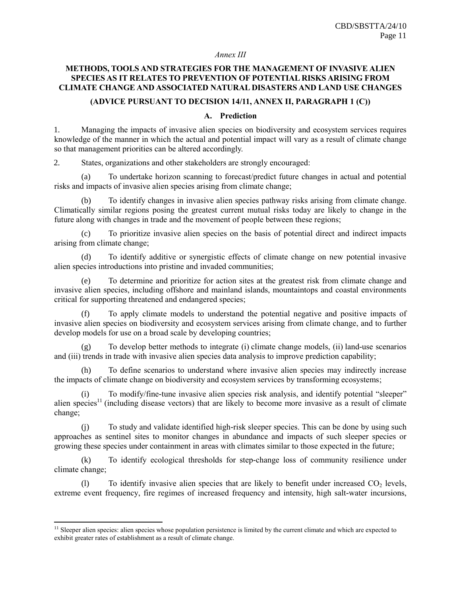### *Annex III*

## **METHODS, TOOLS AND STRATEGIES FOR THE MANAGEMENT OF INVASIVE ALIEN SPECIES AS IT RELATES TO PREVENTION OF POTENTIAL RISKS ARISING FROM CLIMATE CHANGE AND ASSOCIATED NATURAL DISASTERS AND LAND USE CHANGES**

#### **(ADVICE PURSUANT TO DECISION 14/11, ANNEX II, PARAGRAPH 1 (C))**

### **A. Prediction**

1. Managing the impacts of invasive alien species on biodiversity and ecosystem services requires knowledge of the manner in which the actual and potential impact will vary as a result of climate change so that management priorities can be altered accordingly.

2. States, organizations and other stakeholders are strongly encouraged:

(a) To undertake horizon scanning to forecast/predict future changes in actual and potential risks and impacts of invasive alien species arising from climate change;

To identify changes in invasive alien species pathway risks arising from climate change. Climatically similar regions posing the greatest current mutual risks today are likely to change in the future along with changes in trade and the movement of people between these regions;

(c) To prioritize invasive alien species on the basis of potential direct and indirect impacts arising from climate change;

(d) To identify additive or synergistic effects of climate change on new potential invasive alien species introductions into pristine and invaded communities;

(e) To determine and prioritize for action sites at the greatest risk from climate change and invasive alien species, including offshore and mainland islands, mountaintops and coastal environments critical for supporting threatened and endangered species;

(f) To apply climate models to understand the potential negative and positive impacts of invasive alien species on biodiversity and ecosystem services arising from climate change, and to further develop models for use on a broad scale by developing countries;

To develop better methods to integrate (i) climate change models, (ii) land-use scenarios and (iii) trends in trade with invasive alien species data analysis to improve prediction capability;

(h) To define scenarios to understand where invasive alien species may indirectly increase the impacts of climate change on biodiversity and ecosystem services by transforming ecosystems;

(i) To modify/fine-tune invasive alien species risk analysis, and identify potential "sleeper" alien species<sup>11</sup> (including disease vectors) that are likely to become more invasive as a result of climate change;

(j) To study and validate identified high-risk sleeper species. This can be done by using such approaches as sentinel sites to monitor changes in abundance and impacts of such sleeper species or growing these species under containment in areas with climates similar to those expected in the future;

(k) To identify ecological thresholds for step-change loss of community resilience under climate change;

(1) To identify invasive alien species that are likely to benefit under increased  $CO<sub>2</sub>$  levels, extreme event frequency, fire regimes of increased frequency and intensity, high salt-water incursions,

<sup>&</sup>lt;sup>11</sup> Sleeper alien species: alien species whose population persistence is limited by the current climate and which are expected to exhibit greater rates of establishment as a result of climate change.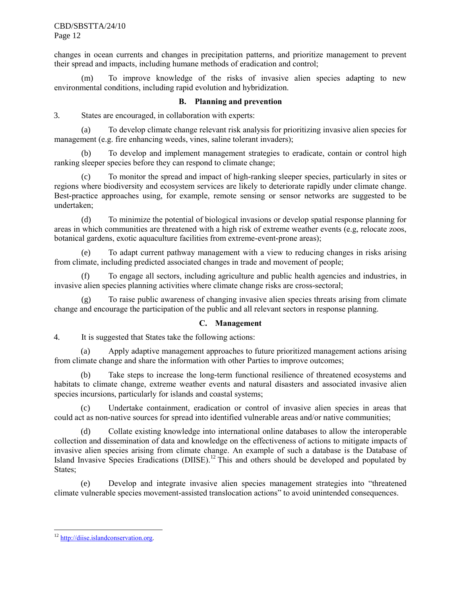CBD/SBSTTA/24/10 Page 12

changes in ocean currents and changes in precipitation patterns, and prioritize management to prevent their spread and impacts, including humane methods of eradication and control;

(m) To improve knowledge of the risks of invasive alien species adapting to new environmental conditions, including rapid evolution and hybridization.

### **B. Planning and prevention**

3. States are encouraged, in collaboration with experts:

(a) To develop climate change relevant risk analysis for prioritizing invasive alien species for management (e.g. fire enhancing weeds, vines, saline tolerant invaders);

(b) To develop and implement management strategies to eradicate, contain or control high ranking sleeper species before they can respond to climate change;

(c) To monitor the spread and impact of high-ranking sleeper species, particularly in sites or regions where biodiversity and ecosystem services are likely to deteriorate rapidly under climate change. Best-practice approaches using, for example, remote sensing or sensor networks are suggested to be undertaken;

(d) To minimize the potential of biological invasions or develop spatial response planning for areas in which communities are threatened with a high risk of extreme weather events (e.g, relocate zoos, botanical gardens, exotic aquaculture facilities from extreme-event-prone areas);

(e) To adapt current pathway management with a view to reducing changes in risks arising from climate, including predicted associated changes in trade and movement of people;

(f) To engage all sectors, including agriculture and public health agencies and industries, in invasive alien species planning activities where climate change risks are cross-sectoral;

(g) To raise public awareness of changing invasive alien species threats arising from climate change and encourage the participation of the public and all relevant sectors in response planning.

### **C. Management**

4. It is suggested that States take the following actions:

(a) Apply adaptive management approaches to future prioritized management actions arising from climate change and share the information with other Parties to improve outcomes;

(b) Take steps to increase the long-term functional resilience of threatened ecosystems and habitats to climate change, extreme weather events and natural disasters and associated invasive alien species incursions, particularly for islands and coastal systems;

(c) Undertake containment, eradication or control of invasive alien species in areas that could act as non-native sources for spread into identified vulnerable areas and/or native communities;

(d) Collate existing knowledge into international online databases to allow the interoperable collection and dissemination of data and knowledge on the effectiveness of actions to mitigate impacts of invasive alien species arising from climate change. An example of such a database is the Database of Island Invasive Species Eradications (DIISE).<sup>12</sup> This and others should be developed and populated by States;

(e) Develop and integrate invasive alien species management strategies into "threatened climate vulnerable species movement-assisted translocation actions" to avoid unintended consequences.

<sup>&</sup>lt;sup>12</sup> [http://diise.islandconservation.org.](http://diise.islandconservation.org/)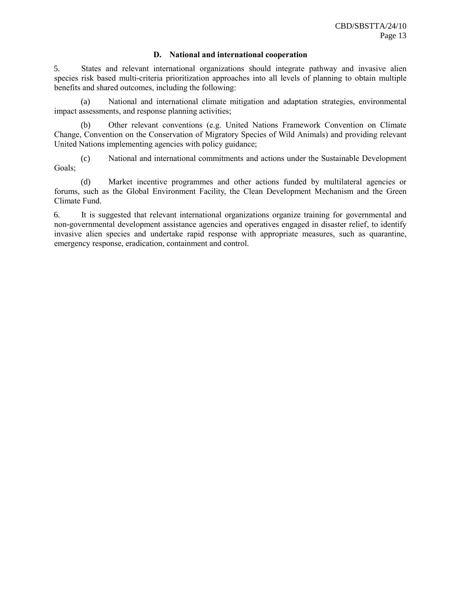#### **D. National and international cooperation**

5. States and relevant international organizations should integrate pathway and invasive alien species risk based multi-criteria prioritization approaches into all levels of planning to obtain multiple benefits and shared outcomes, including the following:

(a) National and international climate mitigation and adaptation strategies, environmental impact assessments, and response planning activities;

(b) Other relevant conventions (e.g. United Nations Framework Convention on Climate Change, Convention on the Conservation of Migratory Species of Wild Animals) and providing relevant United Nations implementing agencies with policy guidance;

(c) National and international commitments and actions under the Sustainable Development Goals;

(d) Market incentive programmes and other actions funded by multilateral agencies or forums, such as the Global Environment Facility, the Clean Development Mechanism and the Green Climate Fund.

6. It is suggested that relevant international organizations organize training for governmental and non-governmental development assistance agencies and operatives engaged in disaster relief, to identify invasive alien species and undertake rapid response with appropriate measures, such as quarantine, emergency response, eradication, containment and control.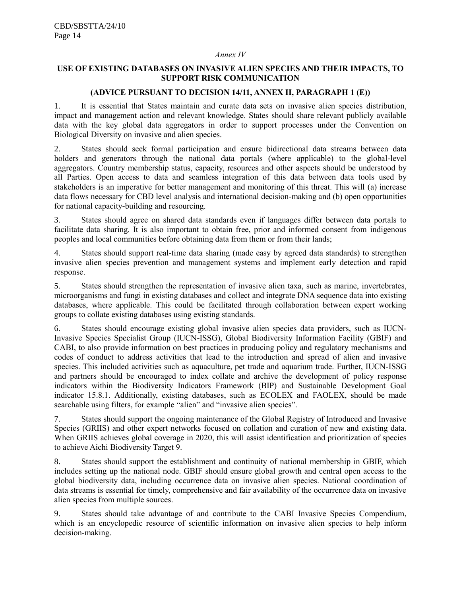#### *Annex IV*

### **USE OF EXISTING DATABASES ON INVASIVE ALIEN SPECIES AND THEIR IMPACTS, TO SUPPORT RISK COMMUNICATION**

#### **(ADVICE PURSUANT TO DECISION 14/11, ANNEX II, PARAGRAPH 1 (E))**

1. It is essential that States maintain and curate data sets on invasive alien species distribution, impact and management action and relevant knowledge. States should share relevant publicly available data with the key global data aggregators in order to support processes under the Convention on Biological Diversity on invasive and alien species.

2. States should seek formal participation and ensure bidirectional data streams between data holders and generators through the national data portals (where applicable) to the global-level aggregators. Country membership status, capacity, resources and other aspects should be understood by all Parties. Open access to data and seamless integration of this data between data tools used by stakeholders is an imperative for better management and monitoring of this threat. This will (a) increase data flows necessary for CBD level analysis and international decision-making and (b) open opportunities for national capacity-building and resourcing.

3. States should agree on shared data standards even if languages differ between data portals to facilitate data sharing. It is also important to obtain free, prior and informed consent from indigenous peoples and local communities before obtaining data from them or from their lands;

4. States should support real-time data sharing (made easy by agreed data standards) to strengthen invasive alien species prevention and management systems and implement early detection and rapid response.

5. States should strengthen the representation of invasive alien taxa, such as marine, invertebrates, microorganisms and fungi in existing databases and collect and integrate DNA sequence data into existing databases, where applicable. This could be facilitated through collaboration between expert working groups to collate existing databases using existing standards.

6. States should encourage existing global invasive alien species data providers, such as IUCN-Invasive Species Specialist Group (IUCN-ISSG), Global Biodiversity Information Facility (GBIF) and CABI, to also provide information on best practices in producing policy and regulatory mechanisms and codes of conduct to address activities that lead to the introduction and spread of alien and invasive species. This included activities such as aquaculture, pet trade and aquarium trade. Further, IUCN-ISSG and partners should be encouraged to index collate and archive the development of policy response indicators within the Biodiversity Indicators Framework (BIP) and Sustainable Development Goal indicator 15.8.1. Additionally, existing databases, such as ECOLEX and FAOLEX, should be made searchable using filters, for example "alien" and "invasive alien species".

7. States should support the ongoing maintenance of the Global Registry of Introduced and Invasive Species (GRIIS) and other expert networks focused on collation and curation of new and existing data. When GRIIS achieves global coverage in 2020, this will assist identification and prioritization of species to achieve Aichi Biodiversity Target 9.

8. States should support the establishment and continuity of national membership in GBIF, which includes setting up the national node. GBIF should ensure global growth and central open access to the global biodiversity data, including occurrence data on invasive alien species. National coordination of data streams is essential for timely, comprehensive and fair availability of the occurrence data on invasive alien species from multiple sources.

9. States should take advantage of and contribute to the CABI Invasive Species Compendium, which is an encyclopedic resource of scientific information on invasive alien species to help inform decision-making.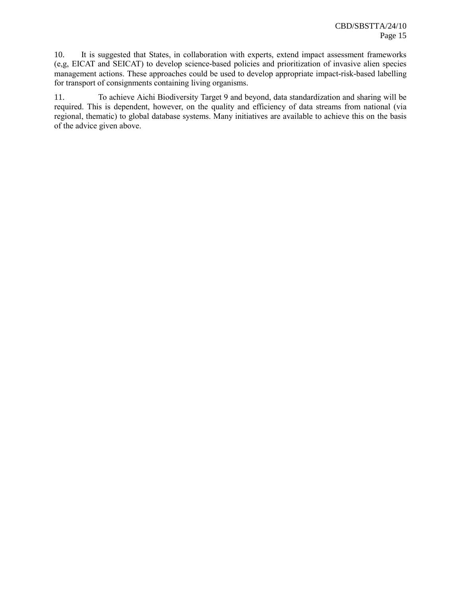10. It is suggested that States, in collaboration with experts, extend impact assessment frameworks (e,g, EICAT and SEICAT) to develop science-based policies and prioritization of invasive alien species management actions. These approaches could be used to develop appropriate impact-risk-based labelling for transport of consignments containing living organisms.

11. To achieve Aichi Biodiversity Target 9 and beyond, data standardization and sharing will be required. This is dependent, however, on the quality and efficiency of data streams from national (via regional, thematic) to global database systems. Many initiatives are available to achieve this on the basis of the advice given above.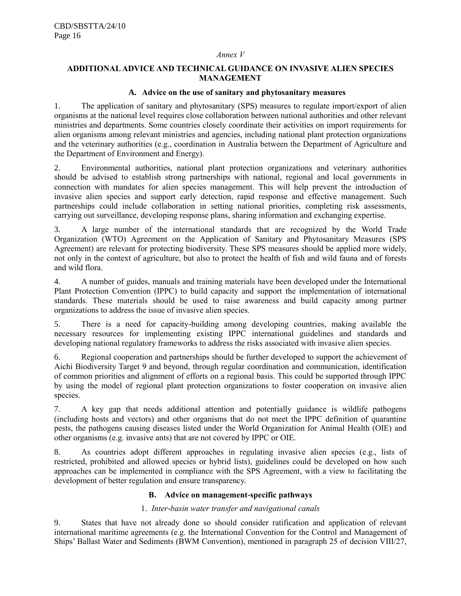#### *Annex V*

### **ADDITIONAL ADVICE AND TECHNICAL GUIDANCE ON INVASIVE ALIEN SPECIES MANAGEMENT**

#### **A. Advice on the use of sanitary and phytosanitary measures**

1. The application of sanitary and phytosanitary (SPS) measures to regulate import/export of alien organisms at the national level requires close collaboration between national authorities and other relevant ministries and departments. Some countries closely coordinate their activities on import requirements for alien organisms among relevant ministries and agencies, including national plant protection organizations and the veterinary authorities (e.g., coordination in Australia between the Department of Agriculture and the Department of Environment and Energy).

2. Environmental authorities, national plant protection organizations and veterinary authorities should be advised to establish strong partnerships with national, regional and local governments in connection with mandates for alien species management. This will help prevent the introduction of invasive alien species and support early detection, rapid response and effective management. Such partnerships could include collaboration in setting national priorities, completing risk assessments, carrying out surveillance, developing response plans, sharing information and exchanging expertise.

3. A large number of the international standards that are recognized by the World Trade Organization (WTO) Agreement on the Application of Sanitary and Phytosanitary Measures (SPS Agreement) are relevant for protecting biodiversity. These SPS measures should be applied more widely, not only in the context of agriculture, but also to protect the health of fish and wild fauna and of forests and wild flora.

4. A number of guides, manuals and training materials have been developed under the International Plant Protection Convention (IPPC) to build capacity and support the implementation of international standards. These materials should be used to raise awareness and build capacity among partner organizations to address the issue of invasive alien species.

5. There is a need for capacity-building among developing countries, making available the necessary resources for implementing existing IPPC international guidelines and standards and developing national regulatory frameworks to address the risks associated with invasive alien species.

6. Regional cooperation and partnerships should be further developed to support the achievement of Aichi Biodiversity Target 9 and beyond, through regular coordination and communication, identification of common priorities and alignment of efforts on a regional basis. This could be supported through IPPC by using the model of regional plant protection organizations to foster cooperation on invasive alien species.

7. A key gap that needs additional attention and potentially guidance is wildlife pathogens (including hosts and vectors) and other organisms that do not meet the IPPC definition of quarantine pests, the pathogens causing diseases listed under the World Organization for Animal Health (OIE) and other organisms (e.g. invasive ants) that are not covered by IPPC or OIE.

8. As countries adopt different approaches in regulating invasive alien species (e.g., lists of restricted, prohibited and allowed species or hybrid lists), guidelines could be developed on how such approaches can be implemented in compliance with the SPS Agreement, with a view to facilitating the development of better regulation and ensure transparency.

### **B. Advice on management-specific pathways**

### 1. *Inter-basin water transfer and navigational canals*

9. States that have not already done so should consider ratification and application of relevant international maritime agreements (e.g. the International Convention for the Control and Management of Ships' Ballast Water and Sediments (BWM Convention), mentioned in paragraph 25 of decision VIII/27,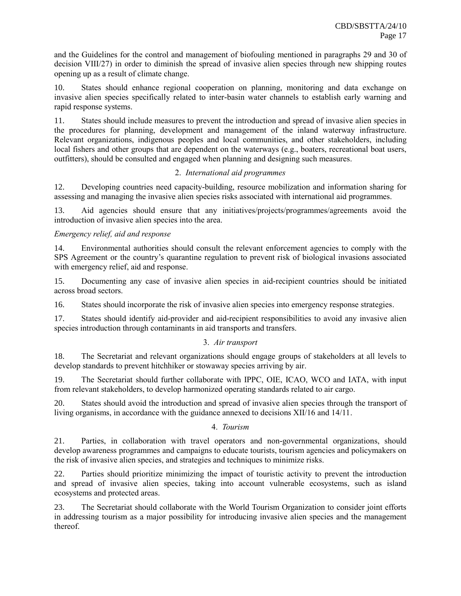and the Guidelines for the control and management of biofouling mentioned in paragraphs 29 and 30 of decision VIII/27) in order to diminish the spread of invasive alien species through new shipping routes opening up as a result of climate change.

10. States should enhance regional cooperation on planning, monitoring and data exchange on invasive alien species specifically related to inter-basin water channels to establish early warning and rapid response systems.

11. States should include measures to prevent the introduction and spread of invasive alien species in the procedures for planning, development and management of the inland waterway infrastructure. Relevant organizations, indigenous peoples and local communities, and other stakeholders, including local fishers and other groups that are dependent on the waterways (e.g., boaters, recreational boat users, outfitters), should be consulted and engaged when planning and designing such measures.

### 2. *International aid programmes*

12. Developing countries need capacity-building, resource mobilization and information sharing for assessing and managing the invasive alien species risks associated with international aid programmes.

13. Aid agencies should ensure that any initiatives/projects/programmes/agreements avoid the introduction of invasive alien species into the area.

# *Emergency relief, aid and response*

14. Environmental authorities should consult the relevant enforcement agencies to comply with the SPS Agreement or the country's quarantine regulation to prevent risk of biological invasions associated with emergency relief, aid and response.

15. Documenting any case of invasive alien species in aid-recipient countries should be initiated across broad sectors.

16. States should incorporate the risk of invasive alien species into emergency response strategies.

17. States should identify aid-provider and aid-recipient responsibilities to avoid any invasive alien species introduction through contaminants in aid transports and transfers.

# 3. *Air transport*

18. The Secretariat and relevant organizations should engage groups of stakeholders at all levels to develop standards to prevent hitchhiker or stowaway species arriving by air.

19. The Secretariat should further collaborate with IPPC, OIE, ICAO, WCO and IATA, with input from relevant stakeholders, to develop harmonized operating standards related to air cargo.

20. States should avoid the introduction and spread of invasive alien species through the transport of living organisms, in accordance with the guidance annexed to decisions XII/16 and 14/11.

### 4. *Tourism*

21. Parties, in collaboration with travel operators and non-governmental organizations, should develop awareness programmes and campaigns to educate tourists, tourism agencies and policymakers on the risk of invasive alien species, and strategies and techniques to minimize risks.

22. Parties should prioritize minimizing the impact of touristic activity to prevent the introduction and spread of invasive alien species, taking into account vulnerable ecosystems, such as island ecosystems and protected areas.

23. The Secretariat should collaborate with the World Tourism Organization to consider joint efforts in addressing tourism as a major possibility for introducing invasive alien species and the management thereof.